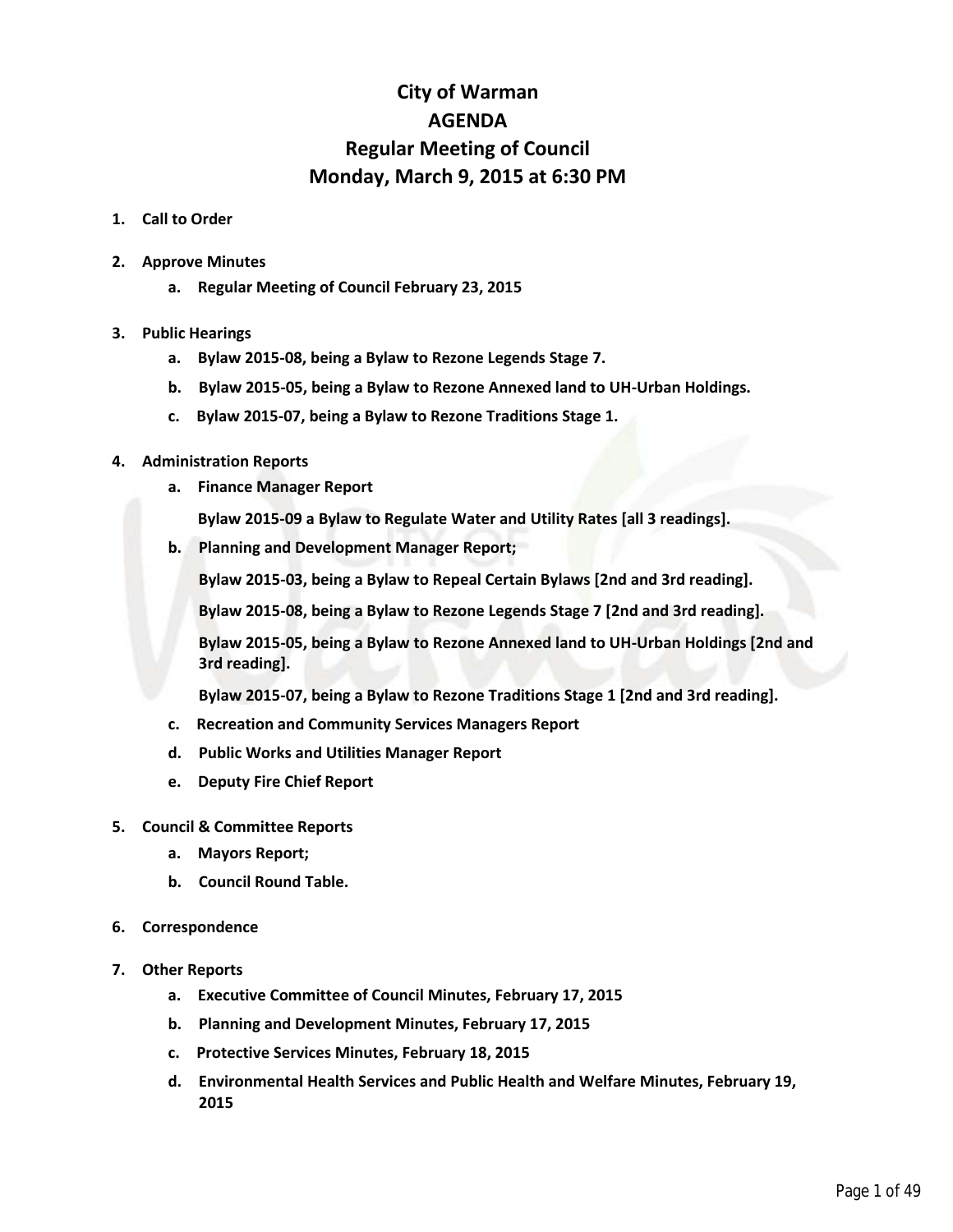## **City of Warman AGENDA Regular Meeting of Council Monday, March 9, 2015 at 6:30 PM**

## **1. Call to Order**

- **2. Approve Minutes**
	- **a. Regular Meeting of Council February 23, 2015**
- **3. Public Hearings**
	- **a. Bylaw 2015-08, being a Bylaw to Rezone Legends Stage 7.**
	- **b. Bylaw 2015-05, being a Bylaw to Rezone Annexed land to UH-Urban Holdings.**
	- **c. Bylaw 2015-07, being a Bylaw to Rezone Traditions Stage 1.**

## **4. Administration Reports**

- **a. Finance Manager Report**
	- **Bylaw 2015-09 a Bylaw to Regulate Water and Utility Rates [all 3 readings].**
- **b. Planning and Development Manager Report;**

**Bylaw 2015-03, being a Bylaw to Repeal Certain Bylaws [2nd and 3rd reading].**

**Bylaw 2015-08, being a Bylaw to Rezone Legends Stage 7 [2nd and 3rd reading].**

**Bylaw 2015-05, being a Bylaw to Rezone Annexed land to UH-Urban Holdings [2nd and 3rd reading].**

**Bylaw 2015-07, being a Bylaw to Rezone Traditions Stage 1 [2nd and 3rd reading].**

- **c. Recreation and Community Services Managers Report**
- **d. Public Works and Utilities Manager Report**
- **e. Deputy Fire Chief Report**
- **5. Council & Committee Reports**
	- **a. Mayors Report;**
	- **b. Council Round Table.**
- **6. Correspondence**
- **7. Other Reports**
	- **a. Executive Committee of Council Minutes, February 17, 2015**
	- **b. Planning and Development Minutes, February 17, 2015**
	- **c. Protective Services Minutes, February 18, 2015**
	- **d. Environmental Health Services and Public Health and Welfare Minutes, February 19, 2015**